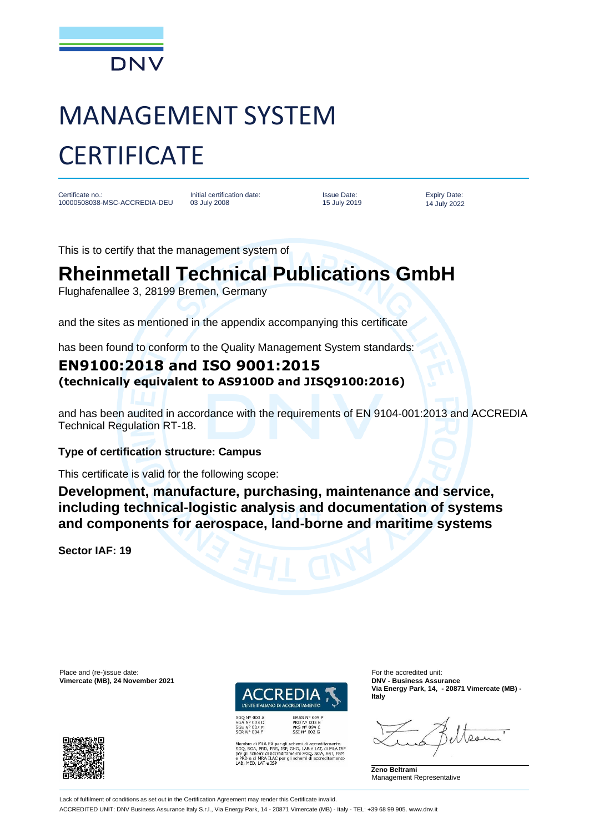

# MANAGEMENT SYSTEM **CERTIFICATE**

Certificate no.: 10000508038-MSC-ACCREDIA-DEU

Initial certification date: 03 July 2008

Issue Date: 15 July 2019

Expiry Date: 14 July 2022

This is to certify that the management system of

## **Rheinmetall Technical Publications GmbH**

Flughafenallee 3, 28199 Bremen, Germany

and the sites as mentioned in the appendix accompanying this certificate

has been found to conform to the Quality Management System standards:

### **EN9100:2018 and ISO 9001:2015 (technically equivalent to AS9100D and JISQ9100:2016)**

and has been audited in accordance with the requirements of EN 9104-001:2013 and ACCREDIA Technical Regulation RT-18.

#### **Type of certification structure: Campus**

This certificate is valid for the following scope:

**Development, manufacture, purchasing, maintenance and service, including technical-logistic analysis and documentation of systems and components for aerospace, land-borne and maritime systems**

**Sector IAF: 19**

Place and (re-)issue date:<br>
Vimercate (MB), 24 November 2021 **For the accredited unit:** For the accredited unit:<br>
Vimercate (MB), 24 November 2021  $V$ imercate (MB), 24 November 2021



SGQ N° 003 A<br>SGA N° 003 D<br>SGE N° 007 M<br>SCR N° 004 F

iro di MLA EA per gli schemi di accreditamento<br>SGA, PRD, PRS, ISP, GHG, LAB e LAT, di MLA IAF<br>i schemi di accreditamento SGQ, SGA, SSI, FSM<br>e di MRA ILAC per gli schemi di accreditamento<br>MED, LAT e ISP

**Via Energy Park, 14, - 20871 Vimercate (MB) - Italy**

**Zeno Beltrami** Management Representative



Lack of fulfilment of conditions as set out in the Certification Agreement may render this Certificate invalid.

ACCREDITED UNIT: DNV Business Assurance Italy S.r.l., Via Energy Park, 14 - 20871 Vimercate (MB) - Italy - TEL: +39 68 99 905. www.dnv.it